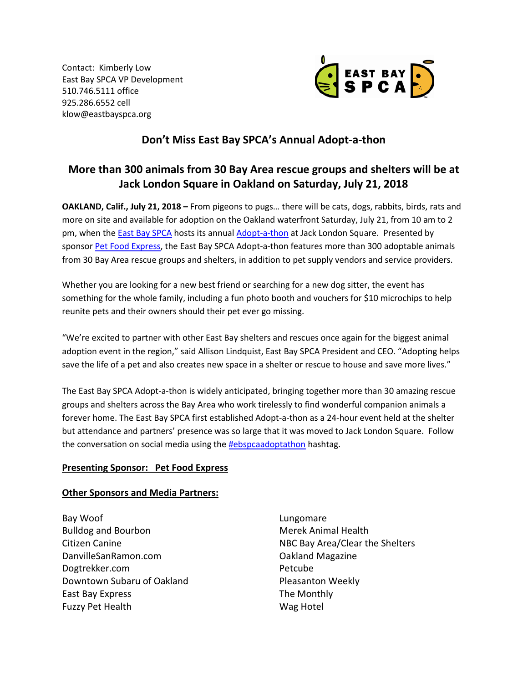Contact: Kimberly Low East Bay SPCA VP Development 510.746.5111 office 925.286.6552 cell klow@eastbayspca.org



## **Don't Miss East Bay SPCA's Annual Adopt-a-thon**

# **More than 300 animals from 30 Bay Area rescue groups and shelters will be at Jack London Square in Oakland on Saturday, July 21, 2018**

**OAKLAND, Calif., July 21, 2018 –** From pigeons to pugs… there will be cats, dogs, rabbits, birds, rats and more on site and available for adoption on the Oakland waterfront Saturday, July 21, from 10 am to 2 pm, when th[e East Bay SPCA](https://www.eastbayspca.org/) hosts its annual [Adopt-a-thon](https://eastbayspca.org/get-involved/events/adopt-a-thon/) at Jack London Square. Presented by sponsor [Pet Food Express,](http://www.petfoodexpress.com/) the East Bay SPCA Adopt-a-thon features more than 300 adoptable animals from 30 Bay Area rescue groups and shelters, in addition to pet supply vendors and service providers.

Whether you are looking for a new best friend or searching for a new dog sitter, the event has something for the whole family, including a fun photo booth and vouchers for \$10 microchips to help reunite pets and their owners should their pet ever go missing.

"We're excited to partner with other East Bay shelters and rescues once again for the biggest animal adoption event in the region," said Allison Lindquist, East Bay SPCA President and CEO. "Adopting helps save the life of a pet and also creates new space in a shelter or rescue to house and save more lives."

The East Bay SPCA Adopt-a-thon is widely anticipated, bringing together more than 30 amazing rescue groups and shelters across the Bay Area who work tirelessly to find wonderful companion animals a forever home. The East Bay SPCA first established Adopt-a-thon as a 24-hour event held at the shelter but attendance and partners' presence was so large that it was moved to Jack London Square. Follow the conversation on social media using the **#ebspcaadoptathon** hashtag.

### **Presenting Sponsor: Pet Food Express**

#### **Other Sponsors and Media Partners:**

Bay Woof Bulldog and Bourbon Citizen Canine DanvilleSanRamon.com Dogtrekker.com Downtown Subaru of Oakland East Bay Express Fuzzy Pet Health

Lungomare Merek Animal Health NBC Bay Area/Clear the Shelters Oakland Magazine Petcube Pleasanton Weekly The Monthly Wag Hotel